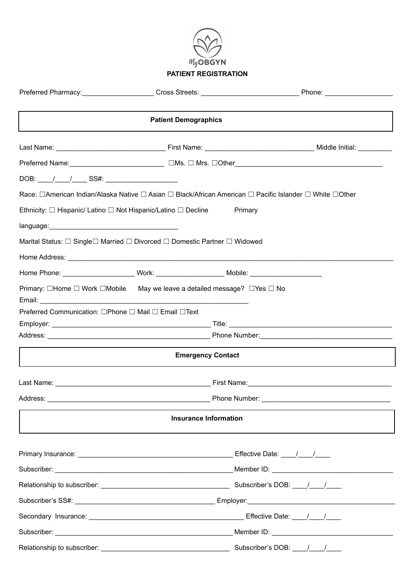

# **PATIENT REGISTRATION**

|                                                      | <b>Patient Demographics</b>                                                                                    |  |
|------------------------------------------------------|----------------------------------------------------------------------------------------------------------------|--|
|                                                      |                                                                                                                |  |
|                                                      |                                                                                                                |  |
| DOB: / / / ___ SS#: _____________________            |                                                                                                                |  |
|                                                      | Race: □American Indian/Alaska Native □ Asian □ Black/African American □ Pacific Islander □ White □Other        |  |
|                                                      | Ethnicity: $\Box$ Hispanic/ Latino $\Box$ Not Hispanic/Latino $\Box$ Decline Primary                           |  |
|                                                      |                                                                                                                |  |
|                                                      | Marital Status: □ Single□ Married □ Divorced □ Domestic Partner □ Widowed                                      |  |
|                                                      |                                                                                                                |  |
|                                                      | Home Phone: __________________________Work: ___________________________Mobile: _______________________________ |  |
|                                                      | Primary: $\Box$ Home $\Box$ Work $\Box$ Mobile May we leave a detailed message? $\Box$ Yes $\Box$ No           |  |
| Preferred Communication: □Phone □ Mail □ Email □Text |                                                                                                                |  |
|                                                      |                                                                                                                |  |
|                                                      |                                                                                                                |  |
|                                                      | <b>Emergency Contact</b>                                                                                       |  |
|                                                      |                                                                                                                |  |
|                                                      |                                                                                                                |  |
|                                                      | <b>Insurance Information</b>                                                                                   |  |
|                                                      |                                                                                                                |  |
|                                                      |                                                                                                                |  |
|                                                      |                                                                                                                |  |
|                                                      |                                                                                                                |  |
|                                                      |                                                                                                                |  |
|                                                      |                                                                                                                |  |
|                                                      |                                                                                                                |  |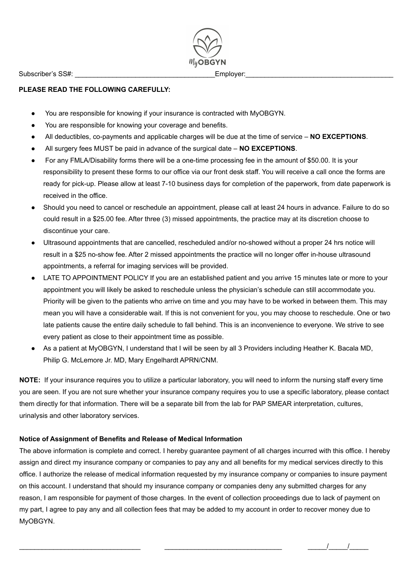Subscriber's SS#: \_\_\_\_\_\_\_\_\_\_\_\_\_\_\_\_\_\_\_\_\_\_\_\_\_\_\_\_\_\_\_\_\_\_\_\_\_Employer:\_\_\_\_\_\_\_\_\_\_\_\_\_\_\_\_\_\_\_\_\_\_\_\_\_\_\_\_\_\_\_\_\_\_\_\_\_\_\_

 $M_{\rm V}$ OBGYN

### **PLEASE READ THE FOLLOWING CAREFULLY:**

- You are responsible for knowing if your insurance is contracted with MyOBGYN.
- You are responsible for knowing your coverage and benefits.
- All deductibles, co-payments and applicable charges will be due at the time of service **NO EXCEPTIONS**.
- All surgery fees MUST be paid in advance of the surgical date **NO EXCEPTIONS**.
- For any FMLA/Disability forms there will be a one-time processing fee in the amount of \$50.00. It is your responsibility to present these forms to our office via our front desk staff. You will receive a call once the forms are ready for pick-up. Please allow at least 7-10 business days for completion of the paperwork, from date paperwork is received in the office.
- Should you need to cancel or reschedule an appointment, please call at least 24 hours in advance. Failure to do so could result in a \$25.00 fee. After three (3) missed appointments, the practice may at its discretion choose to discontinue your care.
- Ultrasound appointments that are cancelled, rescheduled and/or no-showed without a proper 24 hrs notice will result in a \$25 no-show fee. After 2 missed appointments the practice will no longer offer in-house ultrasound appointments, a referral for imaging services will be provided.
- LATE TO APPOINTMENT POLICY If you are an established patient and you arrive 15 minutes late or more to your appointment you will likely be asked to reschedule unless the physician's schedule can still accommodate you. Priority will be given to the patients who arrive on time and you may have to be worked in between them. This may mean you will have a considerable wait. If this is not convenient for you, you may choose to reschedule. One or two late patients cause the entire daily schedule to fall behind. This is an inconvenience to everyone. We strive to see every patient as close to their appointment time as possible.
- As a patient at MyOBGYN, I understand that I will be seen by all 3 Providers including Heather K. Bacala MD, Philip G. McLemore Jr. MD, Mary Engelhardt APRN/CNM.

**NOTE:** If your insurance requires you to utilize a particular laboratory, you will need to inform the nursing staff every time you are seen. If you are not sure whether your insurance company requires you to use a specific laboratory, please contact them directly for that information. There will be a separate bill from the lab for PAP SMEAR interpretation, cultures, urinalysis and other laboratory services.

### **Notice of Assignment of Benefits and Release of Medical Information**

The above information is complete and correct. I hereby guarantee payment of all charges incurred with this office. I hereby assign and direct my insurance company or companies to pay any and all benefits for my medical services directly to this office. I authorize the release of medical information requested by my insurance company or companies to insure payment on this account. I understand that should my insurance company or companies deny any submitted charges for any reason, I am responsible for payment of those charges. In the event of collection proceedings due to lack of payment on my part, I agree to pay any and all collection fees that may be added to my account in order to recover money due to MyOBGYN.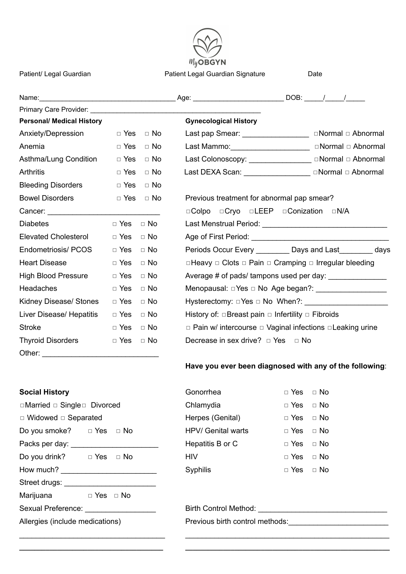

Patient/ Legal Guardian **Patient Legal Guardian Signature** Date

| Primary Care Provider: 2008 - 2009 - 2010 - 2010 - 2010 - 2010 - 2010 - 2010 - 2010 - 2010 - 2010 - 2010 - 20 |                      |                      |                                                                                 |  |
|---------------------------------------------------------------------------------------------------------------|----------------------|----------------------|---------------------------------------------------------------------------------|--|
| <b>Personal/ Medical History</b>                                                                              |                      |                      | <b>Gynecological History</b>                                                    |  |
| Anxiety/Depression                                                                                            |                      | $\Box$ Yes $\Box$ No | Last pap Smear: ________________________  normal $\Box$ Abnormal                |  |
| Anemia                                                                                                        | $\Box$ Yes           | $\Box$ No            |                                                                                 |  |
| Asthma/Lung Condition                                                                                         |                      | $\Box$ Yes $\Box$ No | Last Colonoscopy: ________________________ □ Normal □ Abnormal                  |  |
| <b>Arthritis</b>                                                                                              |                      | $\Box$ Yes $\Box$ No | Last DEXA Scan: ____________________ normal nabnormal                           |  |
| <b>Bleeding Disorders</b>                                                                                     |                      | $\Box$ Yes $\Box$ No |                                                                                 |  |
| <b>Bowel Disorders</b>                                                                                        |                      | $\Box$ Yes $\Box$ No | Previous treatment for abnormal pap smear?                                      |  |
|                                                                                                               |                      |                      | <b>□Colpo □Cryo □LEEP □Conization □N/A</b>                                      |  |
| <b>Diabetes</b>                                                                                               | $\Box$ Yes $\Box$ No |                      |                                                                                 |  |
| <b>Elevated Cholesterol</b>                                                                                   | $\Box$ Yes $\Box$ No |                      |                                                                                 |  |
| Endometriosis/ PCOS                                                                                           | $\Box$ Yes           | $\Box$ No            | Periods Occur Every ___________ Days and Last ________ days                     |  |
| <b>Heart Disease</b>                                                                                          | $\Box$ Yes $\Box$ No |                      | $\Box$ Heavy $\Box$ Clots $\Box$ Pain $\Box$ Cramping $\Box$ Irregular bleeding |  |
| High Blood Pressure                                                                                           | $\Box$ Yes $\Box$ No |                      |                                                                                 |  |
| Headaches                                                                                                     | $\Box$ Yes           | □ No                 |                                                                                 |  |
| Kidney Disease/ Stones                                                                                        | $\Box$ Yes $\Box$ No |                      |                                                                                 |  |
| Liver Disease/ Hepatitis                                                                                      | $\Box$ Yes           | $\Box$ No            | History of: $\Box$ Breast pain $\Box$ Infertility $\Box$ Fibroids               |  |
| <b>Stroke</b>                                                                                                 | $\Box$ Yes $\Box$ No |                      | $\Box$ Pain w/ intercourse $\Box$ Vaginal infections $\Box$ Leaking urine       |  |
| <b>Thyroid Disorders</b>                                                                                      | $\Box$ Yes $\Box$ No |                      | Decrease in sex drive? $\Box$ Yes $\Box$ No                                     |  |
| Other:                                                                                                        |                      |                      |                                                                                 |  |

## **Have you ever been diagnosed with any of the following**:

| <b>SUCIAI FISLUIV</b>              |                      |  |  |  |
|------------------------------------|----------------------|--|--|--|
| □Married □ Single□ Divorced        |                      |  |  |  |
| $\Box$ Widowed $\Box$ Separated    |                      |  |  |  |
| Do you smoke? $\Box$ Yes $\Box$ No |                      |  |  |  |
| Packs per day:                     |                      |  |  |  |
| Do you drink? $\Box$ Yes $\Box$ No |                      |  |  |  |
| How much?                          |                      |  |  |  |
| Street drugs:                      |                      |  |  |  |
| Marijuana                          | $\Box$ Yes $\Box$ No |  |  |  |
| Sexual Preference:                 |                      |  |  |  |
| Allergies (include medications)    |                      |  |  |  |
|                                    |                      |  |  |  |

| <b>Social History</b>              |                      | Gonorrhea          | $\Box$ Yes $\Box$ No |           |
|------------------------------------|----------------------|--------------------|----------------------|-----------|
| □Married □ Single□ Divorced        |                      | Chlamydia          | $\Box$ Yes           | $\Box$ No |
| $\Box$ Widowed $\Box$ Separated    |                      | Herpes (Genital)   | $\Box$ Yes           | $\Box$ No |
| Do you smoke? $\Box$ Yes $\Box$ No |                      | HPV/ Genital warts | $\Box$ Yes $\Box$ No |           |
| Packs per day: _______             |                      | Hepatitis B or C   | $\Box$ Yes           | $\Box$ No |
| Do you drink?                      | $\Box$ Yes $\Box$ No | <b>HIV</b>         | $\Box$ Yes           | $\Box$ No |
| How much?                          |                      | Syphilis           | $\Box$ Yes           | $\Box$ No |

Sexual Preference: \_\_\_\_\_\_\_\_\_\_\_\_\_\_\_\_\_ Birth Control Method: \_\_\_\_\_\_\_\_\_\_\_\_\_\_\_\_\_\_\_\_\_\_\_\_\_\_\_\_\_\_\_

Allergies (include medications) Previous birth control methods:\_\_\_\_\_\_\_\_\_\_\_\_\_\_\_\_\_\_\_\_\_\_\_\_

 $\_$  , and the set of the set of the set of the set of the set of the set of the set of the set of the set of the set of the set of the set of the set of the set of the set of the set of the set of the set of the set of th **\_\_\_\_\_\_\_\_\_\_\_\_\_\_\_\_\_\_\_\_\_\_\_\_\_\_\_\_\_\_\_\_\_\_\_\_\_\_ \_\_\_\_\_\_\_\_\_\_\_\_\_\_\_\_\_\_\_\_\_\_\_\_\_\_\_\_\_\_\_\_\_\_\_\_\_\_\_\_\_\_\_\_\_\_\_\_\_\_\_\_\_\_**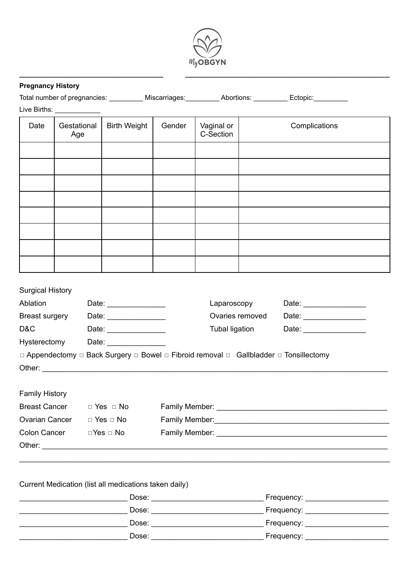

| <b>Pregnancy History</b> |                            |                                    |                                                                                                                                                                                                                                |                         |                 |                                                                                                            |
|--------------------------|----------------------------|------------------------------------|--------------------------------------------------------------------------------------------------------------------------------------------------------------------------------------------------------------------------------|-------------------------|-----------------|------------------------------------------------------------------------------------------------------------|
|                          |                            |                                    |                                                                                                                                                                                                                                |                         |                 | Total number of pregnancies: ___________ Miscarriages: __________ Abortions: __________ Ectopic: _________ |
|                          | Live Births: _____________ |                                    |                                                                                                                                                                                                                                |                         |                 |                                                                                                            |
| Date                     | Gestational<br>Age         | <b>Birth Weight</b>                | Gender                                                                                                                                                                                                                         | Vaginal or<br>C-Section |                 | Complications                                                                                              |
|                          |                            |                                    |                                                                                                                                                                                                                                |                         |                 |                                                                                                            |
|                          |                            |                                    |                                                                                                                                                                                                                                |                         |                 |                                                                                                            |
|                          |                            |                                    |                                                                                                                                                                                                                                |                         |                 |                                                                                                            |
|                          |                            |                                    |                                                                                                                                                                                                                                |                         |                 |                                                                                                            |
|                          |                            |                                    |                                                                                                                                                                                                                                |                         |                 |                                                                                                            |
|                          |                            |                                    |                                                                                                                                                                                                                                |                         |                 |                                                                                                            |
|                          |                            |                                    |                                                                                                                                                                                                                                |                         |                 |                                                                                                            |
|                          |                            |                                    |                                                                                                                                                                                                                                |                         |                 |                                                                                                            |
|                          |                            |                                    |                                                                                                                                                                                                                                |                         |                 |                                                                                                            |
|                          |                            |                                    |                                                                                                                                                                                                                                |                         |                 |                                                                                                            |
| <b>Surgical History</b>  |                            |                                    |                                                                                                                                                                                                                                |                         |                 |                                                                                                            |
| Ablation                 |                            | Date: _________________            |                                                                                                                                                                                                                                | Laparoscopy             |                 |                                                                                                            |
| Breast surgery           |                            | Date: _________________            |                                                                                                                                                                                                                                |                         | Ovaries removed |                                                                                                            |
| D&C                      |                            | Date: ________________             |                                                                                                                                                                                                                                | <b>Tubal ligation</b>   |                 | Date: __________________                                                                                   |
| Hysterectomy             |                            |                                    |                                                                                                                                                                                                                                |                         |                 |                                                                                                            |
|                          |                            |                                    |                                                                                                                                                                                                                                |                         |                 | □ Appendectomy □ Back Surgery □ Bowel □ Fibroid removal □ Gallbladder □ Tonsillectomy                      |
|                          |                            |                                    |                                                                                                                                                                                                                                |                         |                 |                                                                                                            |
|                          |                            |                                    |                                                                                                                                                                                                                                |                         |                 |                                                                                                            |
| <b>Family History</b>    |                            |                                    |                                                                                                                                                                                                                                |                         |                 |                                                                                                            |
|                          |                            | Breast Cancer $\Box$ Yes $\Box$ No |                                                                                                                                                                                                                                |                         |                 |                                                                                                            |
|                          |                            | Ovarian Cancer □ Yes □ No          | Family Member: 2008 Company of the Manual Account of the Manual Account of the Manual Account of the Manual Account of the Manual Account of the Manual Account of the Manual Account of the Manual Account of the Manual Acco |                         |                 |                                                                                                            |
|                          | Colon Cancer DYes D No     |                                    |                                                                                                                                                                                                                                |                         |                 |                                                                                                            |
|                          |                            |                                    |                                                                                                                                                                                                                                |                         |                 |                                                                                                            |

| Dose: | Frequency: |
|-------|------------|
| Dose: | Frequency: |
| Dose: | Frequency: |
| Dose: | Frequency: |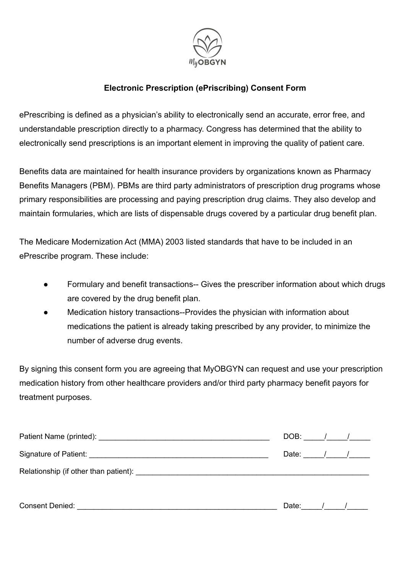

# **Electronic Prescription (ePriscribing) Consent Form**

ePrescribing is defined as a physician's ability to electronically send an accurate, error free, and understandable prescription directly to a pharmacy. Congress has determined that the ability to electronically send prescriptions is an important element in improving the quality of patient care.

Benefits data are maintained for health insurance providers by organizations known as Pharmacy Benefits Managers (PBM). PBMs are third party administrators of prescription drug programs whose primary responsibilities are processing and paying prescription drug claims. They also develop and maintain formularies, which are lists of dispensable drugs covered by a particular drug benefit plan.

The Medicare Modernization Act (MMA) 2003 listed standards that have to be included in an ePrescribe program. These include:

- Formulary and benefit transactions-- Gives the prescriber information about which drugs are covered by the drug benefit plan.
- Medication history transactions--Provides the physician with information about medications the patient is already taking prescribed by any provider, to minimize the number of adverse drug events.

By signing this consent form you are agreeing that MyOBGYN can request and use your prescription medication history from other healthcare providers and/or third party pharmacy benefit payors for treatment purposes.

|                                                                                                                                                                                                                                | DOB: $\frac{1}{\sqrt{2}}$     |  |  |
|--------------------------------------------------------------------------------------------------------------------------------------------------------------------------------------------------------------------------------|-------------------------------|--|--|
|                                                                                                                                                                                                                                | Date: $\frac{1}{\sqrt{2\pi}}$ |  |  |
| Relationship (if other than patient): Next and the set of the set of the set of the set of the set of the set of the set of the set of the set of the set of the set of the set of the set of the set of the set of the set of |                               |  |  |
| <b>Consent Denied:</b>                                                                                                                                                                                                         | Date:                         |  |  |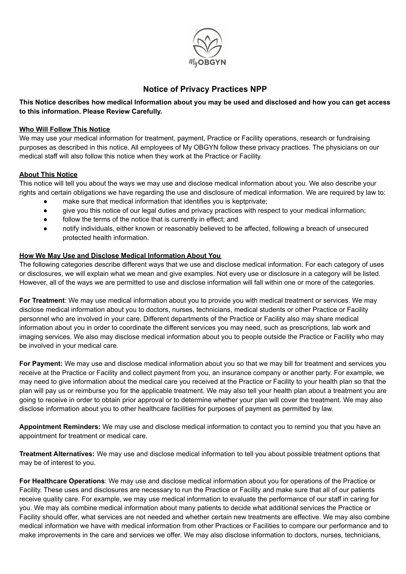

### **Notice of Privacy Practices NPP**

This Notice describes how medical Information about you may be used and disclosed and how you can get access **to this information. Please Review Carefully.**

#### **Who Will Follow This Notice**

We may use your medical information for treatment, payment, Practice or Facility operations, research or fundraising purposes as described in this notice. All employees of My OBGYN follow these privacy practices. The physicians on our medical staff will also follow this notice when they work at the Practice or Facility.

### **About This Notice**

This notice will tell you about the ways we may use and disclose medical information about you. We also describe your rights and certain obligations we have regarding the use and disclosure of medical information. We are required by law to:

- make sure that medical information that identifies you is keptprivate;
- give you this notice of our legal duties and privacy practices with respect to your medical information;
- follow the terms of the notice that is currently in effect; and
- notify individuals, either known or reasonably believed to be affected, following a breach of unsecured protected health information.

### **How We May Use and Disclose Medical Information About You**

The following categories describe different ways that we use and disclose medical information. For each category of uses or disclosures, we will explain what we mean and give examples. Not every use or disclosure in a category will be listed. However, all of the ways we are permitted to use and disclose information will fall within one or more of the categories.

**For Treatment**: We may use medical information about you to provide you with medical treatment or services. We may disclose medical information about you to doctors, nurses, technicians, medical students or other Practice or Facility personnel who are involved in your care. Different departments of the Practice or Facility also may share medical information about you in order to coordinate the different services you may need, such as prescriptions, lab work and imaging services. We also may disclose medical information about you to people outside the Practice or Facility who may be involved in your medical care.

**For Payment:** We may use and disclose medical information about you so that we may bill for treatment and services you receive at the Practice or Facility and collect payment from you, an insurance company or another party. For example, we may need to give information about the medical care you received at the Practice or Facility to your health plan so that the plan will pay us or reimburse you for the applicable treatment. We may also tell your health plan about a treatment you are going to receive in order to obtain prior approval or to determine whether your plan will cover the treatment. We may also disclose information about you to other healthcare facilities for purposes of payment as permitted by law.

**Appointment Reminders:** We may use and disclose medical information to contact you to remind you that you have an appointment for treatment or medical care.

**Treatment Alternatives:** We may use and disclose medical information to tell you about possible treatment options that may be of interest to you.

**For Healthcare Operations**: We may use and disclose medical information about you for operations of the Practice or Facility. These uses and disclosures are necessary to run the Practice or Facility and make sure that all of our patients receive quality care. For example, we may use medical information to evaluate the performance of our staff in caring for you. We may als combine medical information about many patients to decide what additional services the Practice or Facility should offer, what services are not needed and whether certain new treatments are effective. We may also combine medical information we have with medical information from other Practices or Facilities to compare our performance and to make improvements in the care and services we offer. We may also disclose information to doctors, nurses, technicians,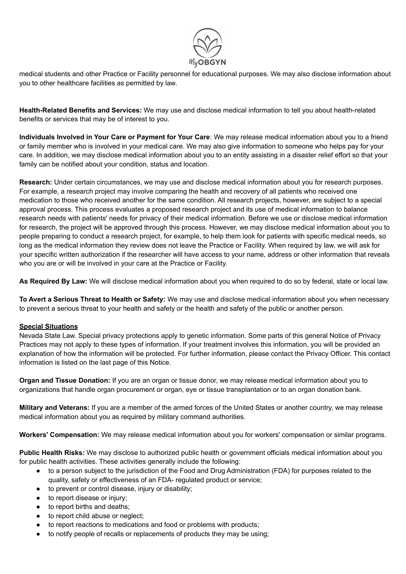

medical students and other Practice or Facility personnel for educational purposes. We may also disclose information about you to other healthcare facilities as permitted by law.

**Health-Related Benefits and Services:** We may use and disclose medical information to tell you about health-related benefits or services that may be of interest to you.

**Individuals Involved in Your Care or Payment for Your Care**: We may release medical information about you to a friend or family member who is involved in your medical care. We may also give information to someone who helps pay for your care. In addition, we may disclose medical information about you to an entity assisting in a disaster relief effort so that your family can be notified about your condition, status and location.

**Research:** Under certain circumstances, we may use and disclose medical information about you for research purposes. For example, a research project may involve comparing the health and recovery of all patients who received one medication to those who received another for the same condition. All research projects, however, are subject to a special approval process. This process evaluates a proposed research project and its use of medical information to balance research needs with patients' needs for privacy of their medical information. Before we use or disclose medical information for research, the project will be approved through this process. However, we may disclose medical information about you to people preparing to conduct a research project, for example, to help them look for patients with specific medical needs, so long as the medical information they review does not leave the Practice or Facility. When required by law, we will ask for your specific written authorization if the researcher will have access to your name, address or other information that reveals who you are or will be involved in your care at the Practice or Facility.

**As Required By Law:** We will disclose medical information about you when required to do so by federal, state or local law.

**To Avert a Serious Threat to Health or Safety:** We may use and disclose medical information about you when necessary to prevent a serious threat to your health and safety or the health and safety of the public or another person.

#### **Special Situations**

Nevada State Law. Special privacy protections apply to genetic information. Some parts of this general Notice of Privacy Practices may not apply to these types of information. If your treatment involves this information, you will be provided an explanation of how the information will be protected. For further information, please contact the Privacy Officer. This contact information is listed on the last page of this Notice.

**Organ and Tissue Donation:** If you are an organ or tissue donor, we may release medical information about you to organizations that handle organ procurement or organ, eye or tissue transplantation or to an organ donation bank.

**Military and Veterans:** If you are a member of the armed forces of the United States or another country, we may release medical information about you as required by military command authorities.

**Workers' Compensation:** We may release medical information about you for workers' compensation or similar programs.

**Public Health Risks:** We may disclose to authorized public health or government officials medical information about you for public health activities. These activities generally include the following:

- to a person subject to the jurisdiction of the Food and Drug Administration (FDA) for purposes related to the quality, safety or effectiveness of an FDA- regulated product or service;
- to prevent or control disease, injury or disability;
- to report disease or injury;
- to report births and deaths;
- to report child abuse or neglect;
- to report reactions to medications and food or problems with products;
- to notify people of recalls or replacements of products they may be using;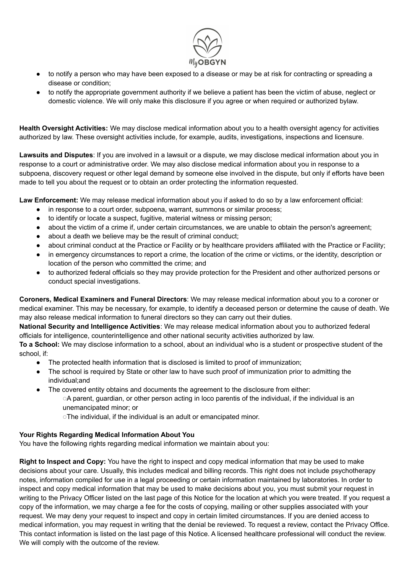

- to notify a person who may have been exposed to a disease or may be at risk for contracting or spreading a disease or condition;
- to notify the appropriate government authority if we believe a patient has been the victim of abuse, neglect or domestic violence. We will only make this disclosure if you agree or when required or authorized bylaw.

**Health Oversight Activities:** We may disclose medical information about you to a health oversight agency for activities authorized by law. These oversight activities include, for example, audits, investigations, inspections and licensure.

**Lawsuits and Disputes**: If you are involved in a lawsuit or a dispute, we may disclose medical information about you in response to a court or administrative order. We may also disclose medical information about you in response to a subpoena, discovery request or other legal demand by someone else involved in the dispute, but only if efforts have been made to tell you about the request or to obtain an order protecting the information requested.

**Law Enforcement:** We may release medical information about you if asked to do so by a law enforcement official:

- in response to a court order, subpoena, warrant, summons or similar process;
- to identify or locate a suspect, fugitive, material witness or missing person;
- about the victim of a crime if, under certain circumstances, we are unable to obtain the person's agreement;
- about a death we believe may be the result of criminal conduct;
- about criminal conduct at the Practice or Facility or by healthcare providers affiliated with the Practice or Facility;
- in emergency circumstances to report a crime, the location of the crime or victims, or the identity, description or location of the person who committed the crime; and
- to authorized federal officials so they may provide protection for the President and other authorized persons or conduct special investigations.

**Coroners, Medical Examiners and Funeral Directors**: We may release medical information about you to a coroner or medical examiner. This may be necessary, for example, to identify a deceased person or determine the cause of death. We may also release medical information to funeral directors so they can carry out their duties.

**National Security and Intelligence Activities**: We may release medical information about you to authorized federal officials for intelligence, counterintelligence and other national security activities authorized by law.

**To a School:** We may disclose information to a school, about an individual who is a student or prospective student of the school, if:

- The protected health information that is disclosed is limited to proof of immunization;
- The school is required by State or other law to have such proof of immunization prior to admitting the individual;and
- The covered entity obtains and documents the agreement to the disclosure from either:

◌A parent, guardian, or other person acting in loco parentis of the individual, if the individual is an unemancipated minor; or

◌The individual, if the individual is an adult or emancipated minor.

#### **Your Rights Regarding Medical Information About You**

You have the following rights regarding medical information we maintain about you:

**Right to Inspect and Copy:** You have the right to inspect and copy medical information that may be used to make decisions about your care. Usually, this includes medical and billing records. This right does not include psychotherapy notes, information compiled for use in a legal proceeding or certain information maintained by laboratories. In order to inspect and copy medical information that may be used to make decisions about you, you must submit your request in writing to the Privacy Officer listed on the last page of this Notice for the location at which you were treated. If you request a copy of the information, we may charge a fee for the costs of copying, mailing or other supplies associated with your request. We may deny your request to inspect and copy in certain limited circumstances. If you are denied access to medical information, you may request in writing that the denial be reviewed. To request a review, contact the Privacy Office. This contact information is listed on the last page of this Notice. A licensed healthcare professional will conduct the review. We will comply with the outcome of the review.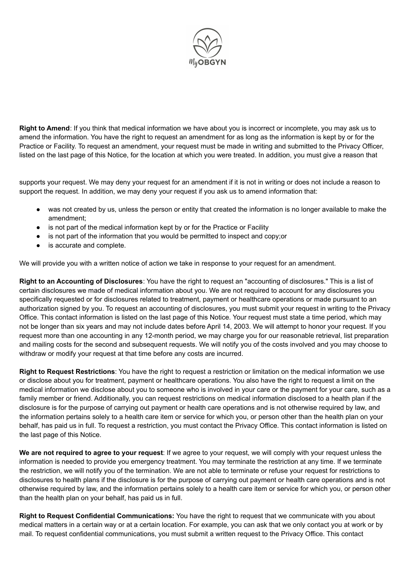

**Right to Amend**: If you think that medical information we have about you is incorrect or incomplete, you may ask us to amend the information. You have the right to request an amendment for as long as the information is kept by or for the Practice or Facility. To request an amendment, your request must be made in writing and submitted to the Privacy Officer, listed on the last page of this Notice, for the location at which you were treated. In addition, you must give a reason that

supports your request. We may deny your request for an amendment if it is not in writing or does not include a reason to support the request. In addition, we may deny your request if you ask us to amend information that:

- was not created by us, unless the person or entity that created the information is no longer available to make the amendment;
- is not part of the medical information kept by or for the Practice or Facility
- is not part of the information that you would be permitted to inspect and copy;or
- is accurate and complete.

We will provide you with a written notice of action we take in response to your request for an amendment.

**Right to an Accounting of Disclosures**: You have the right to request an "accounting of disclosures." This is a list of certain disclosures we made of medical information about you. We are not required to account for any disclosures you specifically requested or for disclosures related to treatment, payment or healthcare operations or made pursuant to an authorization signed by you. To request an accounting of disclosures, you must submit your request in writing to the Privacy Office. This contact information is listed on the last page of this Notice. Your request must state a time period, which may not be longer than six years and may not include dates before April 14, 2003. We will attempt to honor your request. If you request more than one accounting in any 12-month period, we may charge you for our reasonable retrieval, list preparation and mailing costs for the second and subsequent requests. We will notify you of the costs involved and you may choose to withdraw or modify your request at that time before any costs are incurred.

**Right to Request Restrictions**: You have the right to request a restriction or limitation on the medical information we use or disclose about you for treatment, payment or healthcare operations. You also have the right to request a limit on the medical information we disclose about you to someone who is involved in your care or the payment for your care, such as a family member or friend. Additionally, you can request restrictions on medical information disclosed to a health plan if the disclosure is for the purpose of carrying out payment or health care operations and is not otherwise required by law, and the information pertains solely to a health care item or service for which you, or person other than the health plan on your behalf, has paid us in full. To request a restriction, you must contact the Privacy Office. This contact information is listed on the last page of this Notice.

**We are not required to agree to your request**: If we agree to your request, we will comply with your request unless the information is needed to provide you emergency treatment. You may terminate the restriction at any time. If we terminate the restriction, we will notify you of the termination. We are not able to terminate or refuse your request for restrictions to disclosures to health plans if the disclosure is for the purpose of carrying out payment or health care operations and is not otherwise required by law, and the information pertains solely to a health care item or service for which you, or person other than the health plan on your behalf, has paid us in full.

**Right to Request Confidential Communications:** You have the right to request that we communicate with you about medical matters in a certain way or at a certain location. For example, you can ask that we only contact you at work or by mail. To request confidential communications, you must submit a written request to the Privacy Office. This contact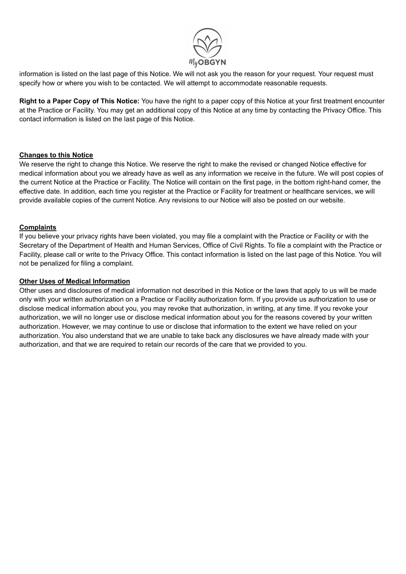

information is listed on the last page of this Notice. We will not ask you the reason for your request. Your request must specify how or where you wish to be contacted. We will attempt to accommodate reasonable requests.

**Right to a Paper Copy of This Notice:** You have the right to a paper copy of this Notice at your first treatment encounter at the Practice or Facility. You may get an additional copy of this Notice at any time by contacting the Privacy Office. This contact information is listed on the last page of this Notice.

### **Changes to this Notice**

We reserve the right to change this Notice. We reserve the right to make the revised or changed Notice effective for medical information about you we already have as well as any information we receive in the future. We will post copies of the current Notice at the Practice or Facility. The Notice will contain on the first page, in the bottom right-hand comer, the effective date. In addition, each time you register at the Practice or Facility for treatment or healthcare services, we will provide available copies of the current Notice. Any revisions to our Notice will also be posted on our website.

#### **Complaints**

If you believe your privacy rights have been violated, you may file a complaint with the Practice or Facility or with the Secretary of the Department of Health and Human Services, Office of Civil Rights. To file a complaint with the Practice or Facility, please call or write to the Privacy Office. This contact information is listed on the last page of this Notice. You will not be penalized for filing a complaint.

#### **Other Uses of Medical Information**

Other uses and disclosures of medical information not described in this Notice or the laws that apply to us will be made only with your written authorization on a Practice or Facility authorization form. If you provide us authorization to use or disclose medical information about you, you may revoke that authorization, in writing, at any time. If you revoke your authorization, we will no longer use or disclose medical information about you for the reasons covered by your written authorization. However, we may continue to use or disclose that information to the extent we have relied on your authorization. You also understand that we are unable to take back any disclosures we have already made with your authorization, and that we are required to retain our records of the care that we provided to you.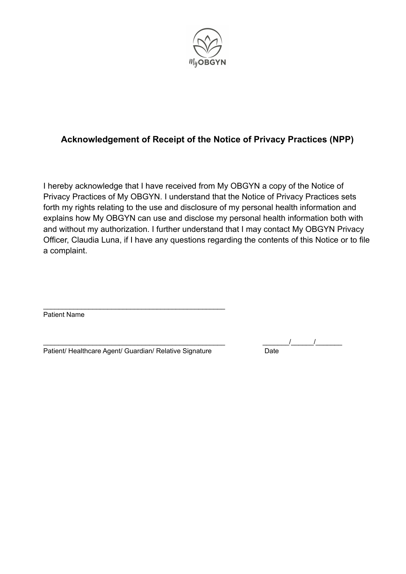

# **Acknowledgement of Receipt of the Notice of Privacy Practices (NPP)**

I hereby acknowledge that I have received from My OBGYN a copy of the Notice of Privacy Practices of My OBGYN. I understand that the Notice of Privacy Practices sets forth my rights relating to the use and disclosure of my personal health information and explains how My OBGYN can use and disclose my personal health information both with and without my authorization. I further understand that I may contact My OBGYN Privacy Officer, Claudia Luna, if I have any questions regarding the contents of this Notice or to file a complaint.

Patient Name

Patient/ Healthcare Agent/ Guardian/ Relative Signature Date

\_\_\_\_\_\_\_\_\_\_\_\_\_\_\_\_\_\_\_\_\_\_\_\_\_\_\_\_\_\_\_\_\_\_\_\_\_\_\_\_\_\_\_\_\_\_\_\_

\_\_\_\_\_\_\_\_\_\_\_\_\_\_\_\_\_\_\_\_\_\_\_\_\_\_\_\_\_\_\_\_\_\_\_\_\_\_\_\_\_\_\_\_\_\_\_\_ \_\_\_\_\_\_\_/\_\_\_\_\_\_/\_\_\_\_\_\_\_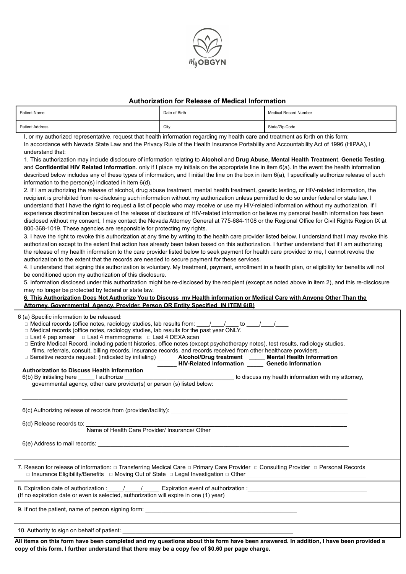

#### **Authorization for Release of Medical Information**

| <b>Patient Name</b>    | Date of Birth | Medical Record Number |
|------------------------|---------------|-----------------------|
| <b>Patient Address</b> | City          | State/Zip Code        |

I, or my authorized representative, request that health information regarding my health care and treatment as forth on this form: In accordance with Nevada State Law and the Privacy Rule of the Health Insurance Portability and Accountability Act of 1996 (HIPAA), I understand that:

1. This authorization may include disclosure of information relating to **Alcohol** and **Drug Abuse, Mental Health Treatmen**t, **Genetic Testing**, and **Confidential HIV Related Information**. only if I place my initials on the appropriate line in item 6(a). In the event the health information described below includes any of these types of information, and I initial the line on the box in item 6(a), I specifically authorize release of such information to the person(s) indicated in item 6(d).

2. If I am authorizing the release of alcohol, drug abuse treatment, mental health treatment, genetic testing, or HIV-related information, the recipient is prohibited from re-disclosing such information without my authorization unless permitted to do so under federal or state law. I understand that I have the right to request a list of people who may receive or use my HIV-related information without my authorization. If I experience discrimination because of the release of disclosure of HIV-related information or believe my personal health information has been disclosed without my consent, I may contact the Nevada Attorney General at 775-684-1108 or the Regional Office for Civil Rights Region IX at 800-368-1019. These agencies are responsible for protecting my rights.

3. I have the right to revoke this authorization at any time by writing to the health care provider listed below. I understand that I may revoke this authorization except to the extent that action has already been taken based on this authorization. I further understand that if I am authorizing the release of my health information to the care provider listed below to seek payment for health care provided to me, I cannot revoke the authorization to the extent that the records are needed to secure payment for these services.

4. I understand that signing this authorization is voluntary. My treatment, payment, enrollment in a health plan, or eligibility for benefits will not be conditioned upon my authorization of this disclosure.

5. Information disclosed under this authorization might be re-disclosed by the recipient (except as noted above in item 2), and this re-disclosure may no longer be protected by federal or state law.

#### 6. This Authorization Does Not Authorize You to Discuss my Health information or Medical Care with Anyone Other Than the **Attorney, Governmental Agency, Provider, Person OR Entity Specified IN ITEM 6(B)**

| 6 (a) Specific information to be released:<br>$\Box$ Medical records (office notes, radiology studies, lab results from: ____/____/____ to ____/____/____<br>□ Medical records (office notes, radiology studies, lab results for the past year ONLY.<br>□ Last 4 pap smear □ Last 4 mammograms □ Last 4 DEXA scan<br>□ Entire Medical Record, including patient histories, office notes (except psychotherapy notes), test results, radiology studies,<br>films, referrals, consult, billing records, insurance records, and records received from other healthcare providers.<br>□ Sensitive records request: (indicated by initialing) ______ Alcohol/Drug treatment _____ Mental Health Information<br>HIV-Related Information Genetic Information<br>Authorization to Discuss Health Information |
|------------------------------------------------------------------------------------------------------------------------------------------------------------------------------------------------------------------------------------------------------------------------------------------------------------------------------------------------------------------------------------------------------------------------------------------------------------------------------------------------------------------------------------------------------------------------------------------------------------------------------------------------------------------------------------------------------------------------------------------------------------------------------------------------------|
| 6(d) Release records to: Name of Health Care Provider/ Insurance/ Other                                                                                                                                                                                                                                                                                                                                                                                                                                                                                                                                                                                                                                                                                                                              |
| 7. Reason for release of information: □ Transferring Medical Care □ Primary Care Provider □ Consulting Provider □ Personal Records                                                                                                                                                                                                                                                                                                                                                                                                                                                                                                                                                                                                                                                                   |
| 8. Expiration date of authorization : 1. 1. 1. Expiration event of authorization :<br>(If no expiration date or even is selected, authorization will expire in one (1) year)                                                                                                                                                                                                                                                                                                                                                                                                                                                                                                                                                                                                                         |
|                                                                                                                                                                                                                                                                                                                                                                                                                                                                                                                                                                                                                                                                                                                                                                                                      |
|                                                                                                                                                                                                                                                                                                                                                                                                                                                                                                                                                                                                                                                                                                                                                                                                      |

All items on this form have been completed and my questions about this form have been answered. In addition, I have been provided a copy of this form. I further understand that there may be a copy fee of \$0.60 per page charge.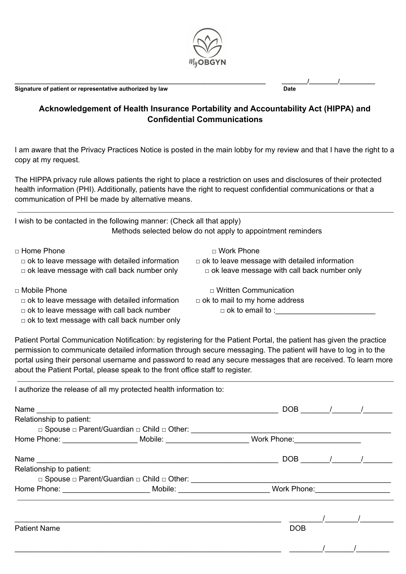

**Signature of patient or representative authorized by law Date**

**\_\_\_\_\_\_\_\_\_\_\_\_\_\_\_\_\_\_\_\_\_\_\_\_\_\_\_\_\_\_\_\_\_\_\_\_\_\_\_\_\_\_\_\_\_\_\_\_\_\_\_\_\_\_\_\_\_\_\_\_\_\_\_\_\_\_\_\_\_\_\_\_\_\_\_\_\_\_ \_\_\_\_\_\_\_\_/\_\_\_\_\_\_\_\_\_/\_\_\_\_\_\_\_\_\_\_\_**

## **Acknowledgement of Health Insurance Portability and Accountability Act (HIPPA) and Confidential Communications**

I am aware that the Privacy Practices Notice is posted in the main lobby for my review and that I have the right to a copy at my request.

The HIPPA privacy rule allows patients the right to place a restriction on uses and disclosures of their protected health information (PHI). Additionally, patients have the right to request confidential communications or that a communication of PHI be made by alternative means.

| I wish to be contacted in the following manner: (Check all that apply)<br>Methods selected below do not apply to appointment reminders |                                                      |  |  |  |
|----------------------------------------------------------------------------------------------------------------------------------------|------------------------------------------------------|--|--|--|
| □ Home Phone                                                                                                                           | □ Work Phone                                         |  |  |  |
| $\Box$ ok to leave message with detailed information                                                                                   | $\Box$ ok to leave message with detailed information |  |  |  |
| $\Box$ ok leave message with call back number only                                                                                     | $\Box$ ok leave message with call back number only   |  |  |  |
| $\Box$ Mobile Phone                                                                                                                    | $\Box$ Written Communication                         |  |  |  |
| $\Box$ ok to leave message with detailed information                                                                                   | $\Box$ ok to mail to my home address                 |  |  |  |

 $\Box$  ok to leave message with call back number  $\Box$  ok to email to :

 $\Box$  ok to text message with call back number only

I authorize the release of all my protected health information to:

Patient Portal Communication Notification: by registering for the Patient Portal, the patient has given the practice permission to communicate detailed information through secure messaging. The patient will have to log in to the portal using their personal username and password to read any secure messages that are received. To learn more about the Patient Portal, please speak to the front office staff to register.

|                          |                                                                                                                |            | $DOB$ / / |
|--------------------------|----------------------------------------------------------------------------------------------------------------|------------|-----------|
| Relationship to patient: |                                                                                                                |            |           |
|                          |                                                                                                                |            |           |
|                          | Home Phone: ___________________________Mobile: _____________________________Work Phone:______________________  |            |           |
|                          |                                                                                                                |            | $DOB$ / / |
| Relationship to patient: |                                                                                                                |            |           |
|                          |                                                                                                                |            |           |
|                          | Home Phone: ______________________________Mobile: _____________________________Work Phone: ___________________ |            |           |
|                          |                                                                                                                |            |           |
| <b>Patient Name</b>      |                                                                                                                | <b>DOB</b> |           |
|                          |                                                                                                                |            |           |